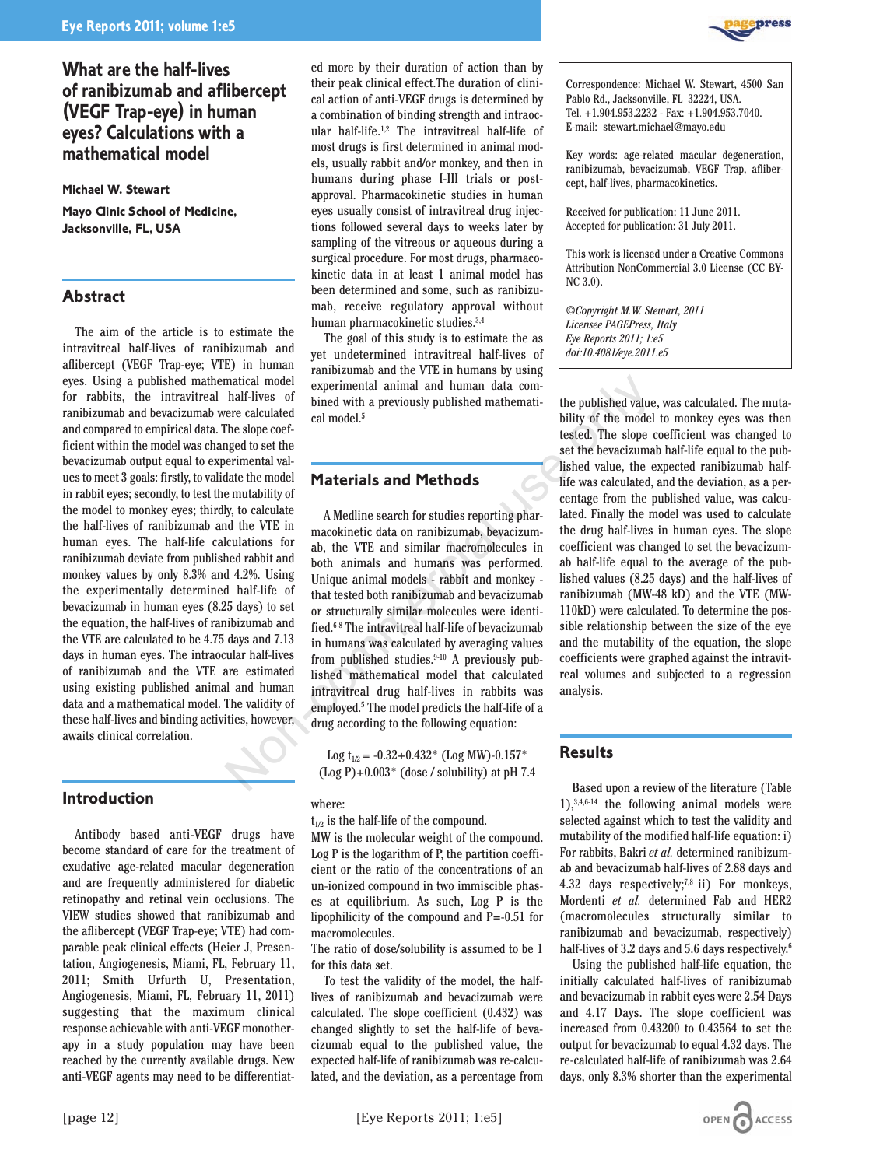# **What are the half-lives of ranibizumab and aflibercept (VEGF Trap-eye) in human eyes? Calculations with a mathematical model**

**Michael W. Stewart**

**Mayo Clinic School of Medicine, Jacksonville, FL, USA**

# **Abstract**

The aim of the article is to estimate the intravitreal half-lives of ranibizumab and aflibercept (VEGF Trap-eye; VTE) in human eyes. Using a published mathematical model for rabbits, the intravitreal half-lives of ranibizumab and bevacizumab were calculated and compared to empirical data. The slope coefficient within the model was changed to set the bevacizumab output equal to experimental values to meet 3 goals: firstly, to validate the model in rabbit eyes; secondly, to test the mutability of the model to monkey eyes; thirdly, to calculate the half-lives of ranibizumab and the VTE in human eyes. The half-life calculations for ranibizumab deviate from published rabbit and monkey values by only 8.3% and 4.2%. Using the experimentally determined half-life of bevacizumab in human eyes (8.25 days) to set the equation, the half-lives of ranibizumab and the VTE are calculated to be 4.75 days and 7.13 days in human eyes. The intraocular half-lives of ranibizumab and the VTE are estimated using existing published animal and human data and a mathematical model. The validity of these half-lives and binding activities, however, awaits clinical correlation.

# **Introduction**

Antibody based anti-VEGF drugs have become standard of care for the treatment of exudative age-related macular degeneration and are frequently administered for diabetic retinopathy and retinal vein occlusions. The VIEW studies showed that ranibizumab and the aflibercept (VEGF Trap-eye; VTE) had comparable peak clinical effects (Heier J, Presentation, Angiogenesis, Miami, FL, February 11, 2011; Smith Urfurth U, Presentation, Angiogenesis, Miami, FL, February 11, 2011) suggesting that the maximum clinical response achievable with anti-VEGF monotherapy in a study population may have been reached by the currently available drugs. New anti-VEGF agents may need to be differentiated more by their duration of action than by their peak clinical effect.The duration of clinical action of anti-VEGF drugs is determined by a combination of binding strength and intraocular half-life.1,2 The intravitreal half-life of most drugs is first determined in animal models, usually rabbit and/or monkey, and then in humans during phase I-III trials or postapproval. Pharmacokinetic studies in human eyes usually consist of intravitreal drug injections followed several days to weeks later by sampling of the vitreous or aqueous during a surgical procedure. For most drugs, pharmacokinetic data in at least 1 animal model has been determined and some, such as ranibizumab, receive regulatory approval without human pharmacokinetic studies.3,4

The goal of this study is to estimate the as yet undetermined intravitreal half-lives of ranibizumab and the VTE in humans by using experimental animal and human data combined with a previously published mathematical model.5

# **Materials and Methods**

A Medline search for studies reporting pharmacokinetic data on ranibizumab, bevacizumab, the VTE and similar macromolecules in both animals and humans was performed. Unique animal models - rabbit and monkey that tested both ranibizumab and bevacizumab or structurally similar molecules were identified.6-8 The intravitreal half-life of bevacizumab in humans was calculated by averaging values from published studies.<sup>9-10</sup> A previously published mathematical model that calculated intravitreal drug half-lives in rabbits was employed.5 The model predicts the half-life of a drug according to the following equation: matical model<br>
natical model experimental animal and human data com-<br>
har livius of bined with a previously published mathemati-<br>
the subged to set the published value energies to set the bevacizum<br>
The slope coef-<br>
energ

Log  $t_{1/2}$  = -0.32+0.432\* (Log MW)-0.157\*  $($ Log P $)+0.003$ <sup>\*</sup> (dose / solubility) at pH 7.4

#### where:

 $t_{1/2}$  is the half-life of the compound.

MW is the molecular weight of the compound. Log P is the logarithm of P, the partition coefficient or the ratio of the concentrations of an un-ionized compound in two immiscible phases at equilibrium. As such, Log P is the lipophilicity of the compound and P=-0.51 for macromolecules.

The ratio of dose/solubility is assumed to be 1 for this data set.

To test the validity of the model, the halflives of ranibizumab and bevacizumab were calculated. The slope coefficient (0.432) was changed slightly to set the half-life of bevacizumab equal to the published value, the expected half-life of ranibizumab was re-calculated, and the deviation, as a percentage from Correspondence: Michael W. Stewart, 4500 San Pablo Rd., Jacksonville, FL 32224, USA. Tel. +1.904.953.2232 - Fax: +1.904.953.7040. E-mail: stewart.michael@mayo.edu

Key words: age-related macular degeneration, ranibizumab, bevacizumab, VEGF Trap, aflibercept, half-lives, pharmacokinetics.

Received for publication: 11 June 2011. Accepted for publication: 31 July 2011.

This work is licensed under a Creative Commons Attribution NonCommercial 3.0 License (CC BY-NC 3.0).

*©Copyright M.W. Stewart, 2011 Licensee PAGEPress, Italy Eye Reports 2011; 1:e5 doi:10.4081/eye.2011.e5*

the published value, was calculated. The mutability of the model to monkey eyes was then tested. The slope coefficient was changed to set the bevacizumab half-life equal to the published value, the expected ranibizumab halflife was calculated, and the deviation, as a percentage from the published value, was calculated. Finally the model was used to calculate the drug half-lives in human eyes. The slope coefficient was changed to set the bevacizumab half-life equal to the average of the published values (8.25 days) and the half-lives of ranibizumab (MW-48 kD) and the VTE (MW-110kD) were calculated. To determine the possible relationship between the size of the eye and the mutability of the equation, the slope coefficients were graphed against the intravitreal volumes and subjected to a regression analysis.

### **Results**

Based upon a review of the literature (Table 1),3,4,6-14 the following animal models were selected against which to test the validity and mutability of the modified half-life equation: i) For rabbits, Bakri *et al.* determined ranibizumab and bevacizumab half-lives of 2.88 days and 4.32 days respectively;<sup>7,8</sup> ii) For monkeys, Mordenti *et al.* determined Fab and HER2 (macromolecules structurally similar to ranibizumab and bevacizumab, respectively) half-lives of 3.2 days and 5.6 days respectively.<sup>6</sup>

Using the published half-life equation, the initially calculated half-lives of ranibizumab and bevacizumab in rabbit eyes were 2.54 Days and 4.17 Days. The slope coefficient was increased from 0.43200 to 0.43564 to set the output for bevacizumab to equal 4.32 days. The re-calculated half-life of ranibizumab was 2.64 days, only 8.3% shorter than the experimental



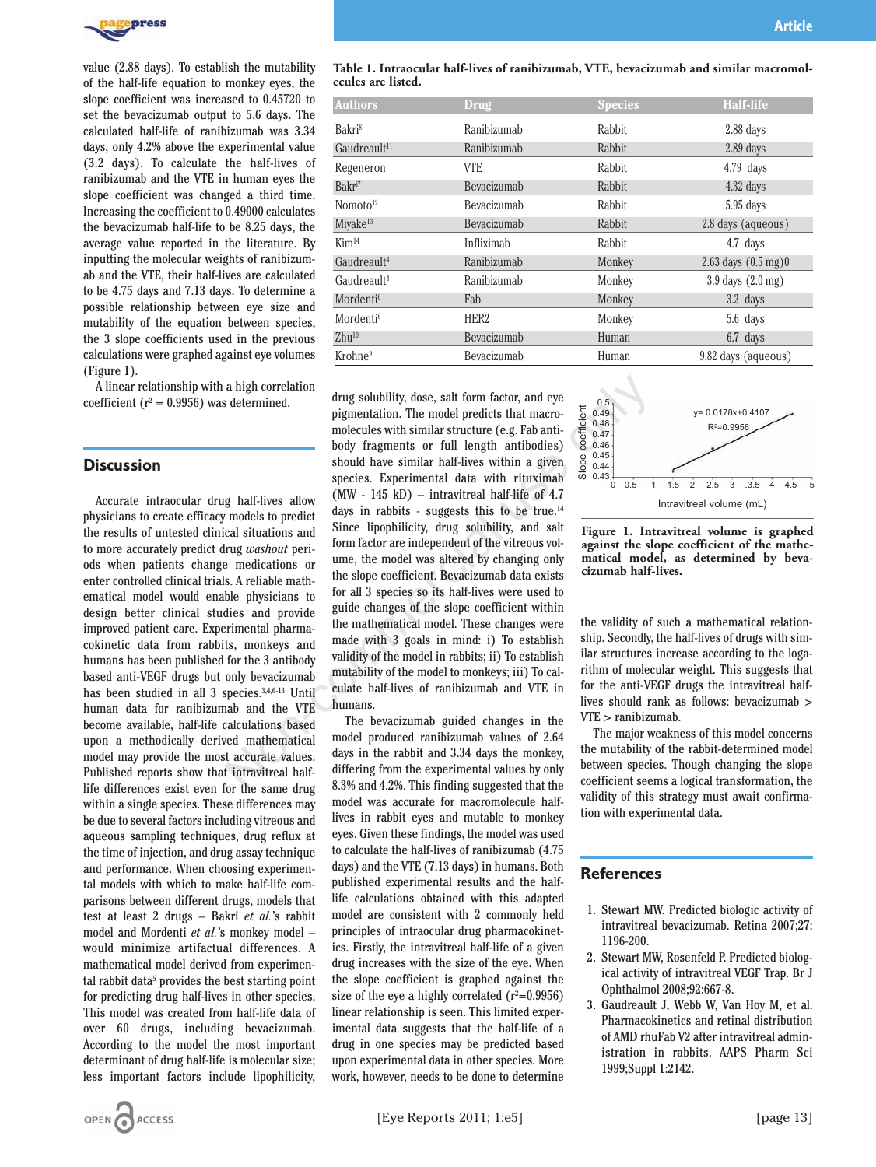

value (2.88 days). To establish the mutability of the half-life equation to monkey eyes, the slope coefficient was increased to 0.45720 to set the bevacizumab output to 5.6 days. The calculated half-life of ranibizumab was 3.34 days, only 4.2% above the experimental value (3.2 days). To calculate the half-lives of ranibizumab and the VTE in human eyes the slope coefficient was changed a third time. Increasing the coefficient to 0.49000 calculates the bevacizumab half-life to be 8.25 days, the average value reported in the literature. By inputting the molecular weights of ranibizumab and the VTE, their half-lives are calculated to be 4.75 days and 7.13 days. To determine a possible relationship between eye size and mutability of the equation between species, the 3 slope coefficients used in the previous calculations were graphed against eye volumes (Figure 1).

A linear relationship with a high correlation coefficient ( $r^2 = 0.9956$ ) was determined.

#### **Discussion**

Accurate intraocular drug half-lives allow physicians to create efficacy models to predict the results of untested clinical situations and to more accurately predict drug *washout* periods when patients change medications or enter controlled clinical trials. A reliable mathematical model would enable physicians to design better clinical studies and provide improved patient care. Experimental pharmacokinetic data from rabbits, monkeys and humans has been published for the 3 antibody based anti-VEGF drugs but only bevacizumab has been studied in all 3 species.<sup>3,4,6-13</sup> Until human data for ranibizumab and the VTE become available, half-life calculations based upon a methodically derived mathematical model may provide the most accurate values. Published reports show that intravitreal halflife differences exist even for the same drug within a single species. These differences may be due to several factors including vitreous and aqueous sampling techniques, drug reflux at the time of injection, and drug assay technique and performance. When choosing experimental models with which to make half-life comparisons between different drugs, models that test at least 2 drugs – Bakri *et al.*'s rabbit model and Mordenti *et al.*'s monkey model – would minimize artifactual differences. A mathematical model derived from experimental rabbit data<sup>5</sup> provides the best starting point for predicting drug half-lives in other species. This model was created from half-life data of over 60 drugs, including bevacizumab. According to the model the most important determinant of drug half-life is molecular size; less important factors include lipophilicity,

| Table 1. Intraocular half-lives of ranibizumab, VTE, bevacizumab and similar macromol- |  |
|----------------------------------------------------------------------------------------|--|
| ecules are listed.                                                                     |  |

| <b>Authors</b>           | <b>Drug</b>      | <b>Species</b> | <b>Half-life</b>                    |
|--------------------------|------------------|----------------|-------------------------------------|
| Bakri <sup>8</sup>       | Ranibizumab      | Rabbit         | $2.88$ days                         |
| Gaudreault <sup>11</sup> | Ranibizumab      | Rabbit         | $2.89$ days                         |
| Regeneron                | <b>VTE</b>       | Rabbit         | $4.79$ days                         |
| Bakr <sup>i7</sup>       | Bevacizumab      | Rabbit         | $4.32$ days                         |
| Nomoto <sup>12</sup>     | Bevacizumab      | Rabbit         | $5.95$ days                         |
| Miyake <sup>13</sup>     | Bevacizumab      | Rabbit         | 2.8 days (aqueous)                  |
| Kim <sup>14</sup>        | Infliximab       | Rabbit         | 4.7 days                            |
| Gaudreault <sup>4</sup>  | Ranibizumab      | Monkey         | 2.63 days $(0.5 \text{ mg})0$       |
| Gaudreault <sup>4</sup>  | Ranibizumab      | Monkey         | $3.9 \text{ days} (2.0 \text{ mg})$ |
| Mordenti <sup>6</sup>    | Fab              | Monkey         | $3.2$ days                          |
| Mordenti <sup>6</sup>    | HER <sub>2</sub> | Monkey         | 5.6 days                            |
| $Zhu^{10}$               | Bevacizumab      | Human          | $6.7$ days                          |
| Krohne <sup>9</sup>      | Bevacizumab      | Human          | 9.82 days (aqueous)                 |

drug solubility, dose, salt form factor, and eye pigmentation. The model predicts that macromolecules with similar structure (e.g. Fab antibody fragments or full length antibodies) should have similar half-lives within a given species. Experimental data with rituximab  $(MW - 145 kD)$  – intravitreal half-life of 4.7 days in rabbits - suggests this to be true.<sup>14</sup> Since lipophilicity, drug solubility, and salt form factor are independent of the vitreous volume, the model was altered by changing only the slope coefficient. Bevacizumab data exists for all 3 species so its half-lives were used to guide changes of the slope coefficient within the mathematical model. These changes were made with 3 goals in mind: i) To establish validity of the model in rabbits; ii) To establish mutability of the model to monkeys; iii) To calculate half-lives of ranibizumab and VTE in humans. a high correlation<br>
or and the pigmentation. The model predicts that macro-<br>
pigmentation. The model predicts that macro-<br>
molecules with similar structure (e.g. Fab anti-<br>
body fragments or full ength antibiodies)  $\frac{8}{$ 

The bevacizumab guided changes in the model produced ranibizumab values of 2.64 days in the rabbit and 3.34 days the monkey, differing from the experimental values by only 8.3% and 4.2%. This finding suggested that the model was accurate for macromolecule halflives in rabbit eyes and mutable to monkey eyes. Given these findings, the model was used to calculate the half-lives of ranibizumab (4.75 days) and the VTE (7.13 days) in humans. Both published experimental results and the halflife calculations obtained with this adapted model are consistent with 2 commonly held principles of intraocular drug pharmacokinetics. Firstly, the intravitreal half-life of a given drug increases with the size of the eye. When the slope coefficient is graphed against the size of the eye a highly correlated  $(r^2=0.9956)$ linear relationship is seen. This limited experimental data suggests that the half-life of a drug in one species may be predicted based upon experimental data in other species. More work, however, needs to be done to determine



**Figure 1. Intravitreal volume is graphed against the slope coefficient of the mathematical model, as determined by bevacizumab half-lives.**

the validity of such a mathematical relationship. Secondly, the half-lives of drugs with similar structures increase according to the logarithm of molecular weight. This suggests that for the anti-VEGF drugs the intravitreal halflives should rank as follows: bevacizumab > VTE > ranibizumab.

The major weakness of this model concerns the mutability of the rabbit-determined model between species. Though changing the slope coefficient seems a logical transformation, the validity of this strategy must await confirmation with experimental data.

### **References**

- 1. Stewart MW. Predicted biologic activity of intravitreal bevacizumab. Retina 2007;27: 1196-200.
- 2. Stewart MW, Rosenfeld P. Predicted biological activity of intravitreal VEGF Trap. Br J Ophthalmol 2008;92:667-8.
- 3. Gaudreault J, Webb W, Van Hoy M, et al. Pharmacokinetics and retinal distribution of AMD rhuFab V2 after intravitreal administration in rabbits. AAPS Pharm Sci 1999;Suppl 1:2142.